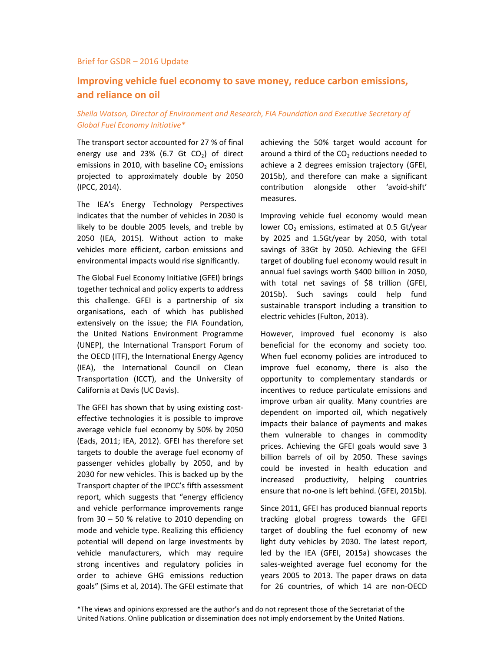#### Brief for GSDR – 2016 Update

# **Improving vehicle fuel economy to save money, reduce carbon emissions, and reliance on oil**

## *Sheila Watson, Director of Environment and Research, FIA Foundation and Executive Secretary of Global Fuel Economy Initiative\**

The transport sector accounted for 27 % of final energy use and 23% (6.7 Gt  $CO<sub>2</sub>$ ) of direct emissions in 2010, with baseline  $CO<sub>2</sub>$  emissions projected to approximately double by 2050 (IPCC, 2014).

The IEA's Energy Technology Perspectives indicates that the number of vehicles in 2030 is likely to be double 2005 levels, and treble by 2050 (IEA, 2015). Without action to make vehicles more efficient, carbon emissions and environmental impacts would rise significantly.

The Global Fuel Economy Initiative (GFEI) brings together technical and policy experts to address this challenge. GFEI is a partnership of six organisations, each of which has published extensively on the issue; the FIA Foundation, the United Nations Environment Programme (UNEP), the International Transport Forum of the OECD (ITF), the International Energy Agency (IEA), the International Council on Clean Transportation (ICCT), and the University of California at Davis (UC Davis).

The GFEI has shown that by using existing costeffective technologies it is possible to improve average vehicle fuel economy by 50% by 2050 (Eads, 2011; IEA, 2012). GFEI has therefore set targets to double the average fuel economy of passenger vehicles globally by 2050, and by 2030 for new vehicles. This is backed up by the Transport chapter of the IPCC's fifth assessment report, which suggests that "energy efficiency and vehicle performance improvements range from 30 – 50 % relative to 2010 depending on mode and vehicle type. Realizing this efficiency potential will depend on large investments by vehicle manufacturers, which may require strong incentives and regulatory policies in order to achieve GHG emissions reduction goals" (Sims et al, 2014). The GFEI estimate that

achieving the 50% target would account for around a third of the  $CO<sub>2</sub>$  reductions needed to achieve a 2 degrees emission trajectory (GFEI, 2015b), and therefore can make a significant contribution alongside other 'avoid-shift' measures.

Improving vehicle fuel economy would mean lower  $CO<sub>2</sub>$  emissions, estimated at 0.5 Gt/year by 2025 and 1.5Gt/year by 2050, with total savings of 33Gt by 2050. Achieving the GFEI target of doubling fuel economy would result in annual fuel savings worth \$400 billion in 2050, with total net savings of \$8 trillion (GFEI, 2015b). Such savings could help fund sustainable transport including a transition to electric vehicles (Fulton, 2013).

However, improved fuel economy is also beneficial for the economy and society too. When fuel economy policies are introduced to improve fuel economy, there is also the opportunity to complementary standards or incentives to reduce particulate emissions and improve urban air quality. Many countries are dependent on imported oil, which negatively impacts their balance of payments and makes them vulnerable to changes in commodity prices. Achieving the GFEI goals would save 3 billion barrels of oil by 2050. These savings could be invested in health education and increased productivity, helping countries ensure that no-one is left behind. (GFEI, 2015b).

Since 2011, GFEI has produced biannual reports tracking global progress towards the GFEI target of doubling the fuel economy of new light duty vehicles by 2030. The latest report, led by the IEA (GFEI, 2015a) showcases the sales-weighted average fuel economy for the years 2005 to 2013. The paper draws on data for 26 countries, of which 14 are non-OECD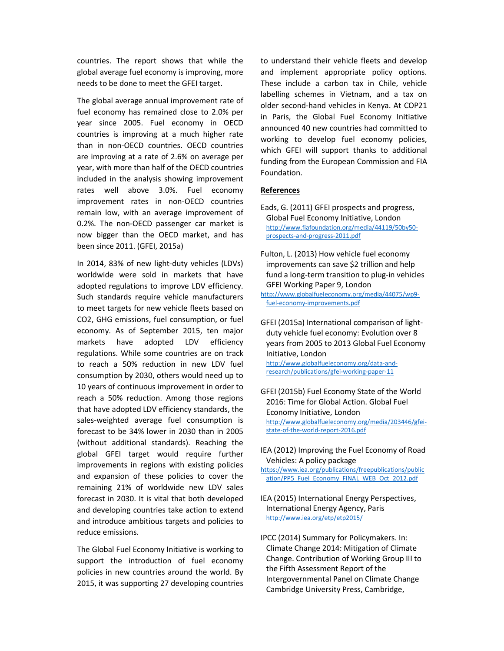countries. The report shows that while the global average fuel economy is improving, more needs to be done to meet the GFEI target.

The global average annual improvement rate of fuel economy has remained close to 2.0% per year since 2005. Fuel economy in OECD countries is improving at a much higher rate than in non-OECD countries. OECD countries are improving at a rate of 2.6% on average per year, with more than half of the OECD countries included in the analysis showing improvement rates well above 3.0%. Fuel economy improvement rates in non-OECD countries remain low, with an average improvement of 0.2%. The non-OECD passenger car market is now bigger than the OECD market, and has been since 2011. (GFEI, 2015a)

In 2014, 83% of new light-duty vehicles (LDVs) worldwide were sold in markets that have adopted regulations to improve LDV efficiency. Such standards require vehicle manufacturers to meet targets for new vehicle fleets based on CO2, GHG emissions, fuel consumption, or fuel economy. As of September 2015, ten major markets have adopted LDV efficiency regulations. While some countries are on track to reach a 50% reduction in new LDV fuel consumption by 2030, others would need up to 10 years of continuous improvement in order to reach a 50% reduction. Among those regions that have adopted LDV efficiency standards, the sales-weighted average fuel consumption is forecast to be 34% lower in 2030 than in 2005 (without additional standards). Reaching the global GFEI target would require further improvements in regions with existing policies and expansion of these policies to cover the remaining 21% of worldwide new LDV sales forecast in 2030. It is vital that both developed and developing countries take action to extend and introduce ambitious targets and policies to reduce emissions.

The Global Fuel Economy Initiative is working to support the introduction of fuel economy policies in new countries around the world. By 2015, it was supporting 27 developing countries to understand their vehicle fleets and develop and implement appropriate policy options. These include a carbon tax in Chile, vehicle labelling schemes in Vietnam, and a tax on older second-hand vehicles in Kenya. At COP21 in Paris, the Global Fuel Economy Initiative announced 40 new countries had committed to working to develop fuel economy policies, which GFEI will support thanks to additional funding from the European Commission and FIA Foundation.

### **References**

- Eads, G. (2011) GFEI prospects and progress, Global Fuel Economy Initiative, London http://www.fiafoundation.org/media/44119/50by50 prospects-and-progress-2011.pdf
- Fulton, L. (2013) How vehicle fuel economy improvements can save \$2 trillion and help fund a long-term transition to plug-in vehicles GFEI Working Paper 9, London
- http://www.globalfueleconomy.org/media/44075/wp9 fuel-economy-improvements.pdf
- GFEI (2015a) International comparison of lightduty vehicle fuel economy: Evolution over 8 years from 2005 to 2013 Global Fuel Economy Initiative, London http://www.globalfueleconomy.org/data-andresearch/publications/gfei-working-paper-11
- GFEI (2015b) Fuel Economy State of the World 2016: Time for Global Action. Global Fuel Economy Initiative, London http://www.globalfueleconomy.org/media/203446/gfeistate-of-the-world-report-2016.pdf
- IEA (2012) Improving the Fuel Economy of Road Vehicles: A policy package
- https://www.iea.org/publications/freepublications/public ation/PP5\_Fuel\_Economy\_FINAL\_WEB\_Oct\_2012.pdf

## IEA (2015) International Energy Perspectives, International Energy Agency, Paris http://www.iea.org/etp/etp2015/

IPCC (2014) Summary for Policymakers. In: Climate Change 2014: Mitigation of Climate Change. Contribution of Working Group III to the Fifth Assessment Report of the Intergovernmental Panel on Climate Change Cambridge University Press, Cambridge,